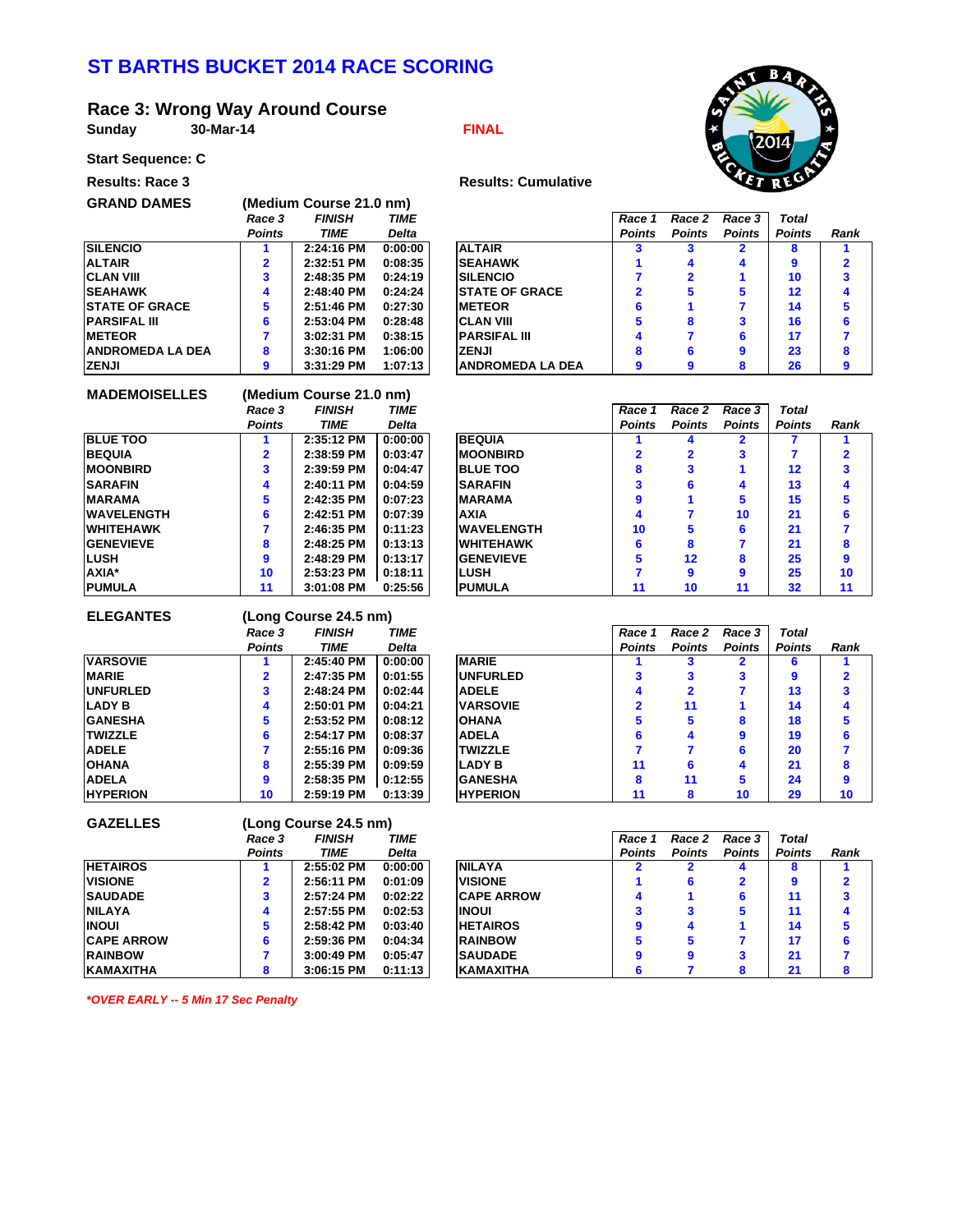# **ST BARTHS BUCKET 2014 RACE SCORING**

## **Race 3: Wrong Way Around Course**

**GRAND DAMES (Medium Course 21.0 nm)**

**Sunday FINAL 30-Mar-14**



#### **Start Sequence: C Results: Race 3**

| <b>Results: Cumula</b> |  |
|------------------------|--|

| > 1999 - 2019 - 20    |               |               |              |                          |               |               |               |               |      |  |
|-----------------------|---------------|---------------|--------------|--------------------------|---------------|---------------|---------------|---------------|------|--|
|                       | Race 3        | <b>FINISH</b> | <b>TIME</b>  |                          | Race 1        | Race 2        | Race 3        | Total         |      |  |
|                       | <b>Points</b> | TIME          | <b>Delta</b> |                          | <b>Points</b> | <b>Points</b> | <b>Points</b> | <b>Points</b> | Rank |  |
| <b>SILENCIO</b>       |               | 2:24:16 PM    | 0:00:00      | <b>ALTAIR</b>            |               |               |               |               |      |  |
| ALTAIR                | 2             | 2:32:51 PM    | 0:08:35      | <b>SEAHAWK</b>           |               |               |               | g             |      |  |
| <b>CLAN VIII</b>      |               | 2:48:35 PM    | 0:24:19      | <b>SILENCIO</b>          |               |               |               | 10            |      |  |
| <b>SEAHAWK</b>        | 4             | 2:48:40 PM    | 0:24:24      | <b>ISTATE OF GRACE</b>   |               |               |               | 12            |      |  |
| <b>STATE OF GRACE</b> | 5             | 2:51:46 PM    | 0:27:30      | <b>IMETEOR</b>           |               |               |               | 14            |      |  |
| <b>PARSIFAL III</b>   | 6             | 2:53:04 PM    | 0:28:48      | <b>CLAN VIII</b>         |               |               |               | 16            |      |  |
| <b>METEOR</b>         |               | 3:02:31 PM    | 0:38:15      | <b>PARSIFAL III</b>      |               |               |               | 17            |      |  |
| ANDROMEDA LA DEA      | 8             | 3:30:16 PM    | 1:06:00      | <b>ZENJI</b>             |               |               |               | 23            |      |  |
| ZENJI                 | g             | $3:31:29$ PM  | 1:07:13      | <b>IANDROMEDA LA DEA</b> |               |               |               | 26            |      |  |

| <b>MADEMOISELLES</b> | (Medium Course 21.0 nm) |               |              |  |  |  |
|----------------------|-------------------------|---------------|--------------|--|--|--|
|                      | Race 3                  | <b>FINISH</b> |              |  |  |  |
|                      | <b>Points</b>           | TIME          | <b>Delta</b> |  |  |  |
| <b>BLUE TOO</b>      | 1                       | 2:35:12 PM    | 0:00:00      |  |  |  |
| <b>BEQUIA</b>        | $\overline{2}$          | 2:38:59 PM    | 0:03:47      |  |  |  |
| <b>MOONBIRD</b>      | 3                       | 2:39:59 PM    | 0:04:47      |  |  |  |
| <b>SARAFIN</b>       | 4                       | 2:40:11 PM    | 0:04:59      |  |  |  |
| <b>MARAMA</b>        | 5                       | $2:42:35$ PM  | 0:07:23      |  |  |  |
| <b>WAVELENGTH</b>    | 6                       | $2:42:51$ PM  | 0:07:39      |  |  |  |
| <b>WHITEHAWK</b>     | 7                       | 2:46:35 PM    | 0:11:23      |  |  |  |
| <b>GENEVIEVE</b>     | 8                       | 2:48:25 PM    | 0:13:13      |  |  |  |
| LUSH                 | 9                       | 2:48:29 PM    | 0:13:17      |  |  |  |
| <b>AXIA</b> *        | 10                      | 2:53:23 PM    | 0:18:11      |  |  |  |
| <b>PUMULA</b>        | 11                      | $3:01:08$ PM  | 0:25:56      |  |  |  |

| <b>Points</b><br><b>Points</b><br><b>Points</b><br><b>TIME</b><br><b>Points</b><br><b>Points</b><br><b>Delta</b> | Rank |  |
|------------------------------------------------------------------------------------------------------------------|------|--|
| <b>BLUE TOO</b><br><b>BEQUIA</b><br>0:00:00<br>2:35:12 PM                                                        |      |  |
| <b>BEQUIA</b><br>2:38:59 PM<br><b>MOONBIRD</b><br>0:03:47<br>3                                                   |      |  |
| <b>MOONBIRD</b><br><b>BLUE TOO</b><br>2:39:59 PM<br>0:04:47<br>12<br>8<br>3                                      |      |  |
| SARAFIN<br>2:40:11 PM<br><b>SARAFIN</b><br>0:04:59<br>13<br>6<br>4<br>4                                          | 4    |  |
| MARAMA<br>5<br>15<br>2:42:35 PM<br>0:07:23<br><b>IMARAMA</b>                                                     | 5    |  |
| WAVELENGTH<br>2:42:51 PM<br><b>AXIA</b><br>21<br>0:07:39<br>10<br>4                                              |      |  |
| <b>IWAVELENGTH</b><br>21<br>WHITEHAWK<br>2:46:35 PM<br>0:11:23<br>10<br>5<br>6                                   |      |  |
| 21<br><b>GENEVIEVE</b><br>2:48:25 PM<br>0:13:13<br><b>IWHITEHAWK</b><br>6<br>8<br>8                              | 8    |  |
| LUSH<br>25<br><b>GENEVIEVE</b><br>12<br>2:48:29 PM<br>0:13:17<br>8<br>g                                          | 9    |  |
| <b>AXIA*</b><br>25<br>0:18:11<br><b>ILUSH</b><br>2:53:23 PM<br>10<br>9<br>9                                      | 10   |  |
| <b>PUMULA</b><br><b>IPUMULA</b><br>0:25:56<br>32<br>$3:01:08$ PM<br>10<br>11<br>11<br>11                         | 11   |  |

| <b>ELEGANTES</b> | (Long Course 24.5 nm)   |              |              |  |  |  |
|------------------|-------------------------|--------------|--------------|--|--|--|
|                  | <b>FINISH</b><br>Race 3 |              | TIME         |  |  |  |
|                  | <b>Points</b>           | <b>TIME</b>  | <b>Delta</b> |  |  |  |
| <b>VARSOVIE</b>  |                         | 2:45:40 PM   | 0:00:00      |  |  |  |
| <b>MARIE</b>     | 2                       | 2:47:35 PM   | 0:01:55      |  |  |  |
| <b>UNFURLED</b>  | 3                       | $2:48:24$ PM | 0:02:44      |  |  |  |
| <b>LADY B</b>    | 4                       | 2:50:01 PM   | 0:04:21      |  |  |  |
| <b>GANESHA</b>   | 5                       | 2:53:52 PM   | 0:08:12      |  |  |  |
| <b>TWIZZLE</b>   | 6                       | $2:54:17$ PM | 0:08:37      |  |  |  |
| <b>ADELE</b>     | 7                       | 2:55:16 PM   | 0:09:36      |  |  |  |
| <b>OHANA</b>     | 8                       | 2:55:39 PM   | 0:09:59      |  |  |  |
| <b>ADELA</b>     | 9                       | 2:58:35 PM   | 0:12:55      |  |  |  |
| <b>HYPERION</b>  | 10                      | 2:59:19 PM   | 0:13:39      |  |  |  |

|                 | Race 3        | <b>FINISH</b> | <b>TIME</b>  |                 | Race 1        | Race 2        | Race 3        | Total         |      |
|-----------------|---------------|---------------|--------------|-----------------|---------------|---------------|---------------|---------------|------|
|                 | <b>Points</b> | TIME          | <b>Delta</b> |                 | <b>Points</b> | <b>Points</b> | <b>Points</b> | <b>Points</b> | Rank |
| <b>VARSOVIE</b> |               | 2:45:40 PM    | 0:00:00      | <b>MARIE</b>    |               |               |               | 6             |      |
| <b>MARIE</b>    |               | 2:47:35 PM    | 0:01:55      | <b>UNFURLED</b> |               |               |               | 9             |      |
| <b>UNFURLED</b> |               | 2:48:24 PM    | 0:02:44      | <b>ADELE</b>    | 4             | 2             |               | 13            |      |
| LADY B          |               | 2:50:01 PM    | 0:04:21      | <b>VARSOVIE</b> |               | 11            |               | 14            |      |
| <b>GANESHA</b>  |               | $2:53:52$ PM  | 0:08:12      | <b>OHANA</b>    |               | 5             | 8             | 18            |      |
| TWIZZLE         | 6             | 2:54:17 PM    | 0:08:37      | <b>ADELA</b>    |               | 4             | 9             | 19            |      |
| <b>ADELE</b>    |               | 2:55:16 PM    | 0:09:36      | <b>TWIZZLE</b>  |               |               |               | 20            |      |
| OHANA           | 8             | 2:55:39 PM    | 0:09:59      | <b>LADY B</b>   | 11            | 6             | 4             | 21            |      |
| ADELA           |               | 2:58:35 PM    | 0:12:55      | <b>GANESHA</b>  | 8             | 11            | 5             | 24            | g    |
| <b>HYPERION</b> | 10            | 2:59:19 PM    | 0:13:39      | <b>HYPERION</b> |               | 8             | 10            | 29            | 10   |
|                 |               |               |              |                 |               |               |               |               |      |

| <b>GAZELLES</b>   |               | (Long Course 24.5 nm) |             |  |  |  |  |
|-------------------|---------------|-----------------------|-------------|--|--|--|--|
|                   | Race 3        | <b>FINISH</b>         | <b>TIME</b> |  |  |  |  |
|                   | <b>Points</b> | TIME                  | Delta       |  |  |  |  |
| <b>HETAIROS</b>   |               | 2:55:02 PM            | 0:00:00     |  |  |  |  |
| <b>VISIONE</b>    | $\mathbf{2}$  | 2:56:11 PM            | 0:01:09     |  |  |  |  |
| <b>SAUDADE</b>    | 3             | 2:57:24 PM            | 0:02:22     |  |  |  |  |
| <b>NILAYA</b>     | 4             | 2:57:55 PM            | 0:02:53     |  |  |  |  |
| <b>INOUI</b>      | 5             | 2:58:42 PM            | 0:03:40     |  |  |  |  |
| <b>CAPE ARROW</b> | 6             | 2:59:36 PM            | 0:04:34     |  |  |  |  |
| <b>RAINBOW</b>    |               | $3:00:49$ PM          | 0:05:47     |  |  |  |  |
| <b>KAMAXITHA</b>  | 8             | 3:06:15 PM            | 0:11:13     |  |  |  |  |

|                   | Race 3        | <b>FINISH</b> | <b>TIME</b>  |                    | Race 1        | Race 2        | Race 3        | Total         |      |
|-------------------|---------------|---------------|--------------|--------------------|---------------|---------------|---------------|---------------|------|
|                   | <b>Points</b> | TIME          | <b>Delta</b> |                    | <b>Points</b> | <b>Points</b> | <b>Points</b> | <b>Points</b> | Rank |
| <b>HETAIROS</b>   |               | 2:55:02 PM    | 0:00:00      | <b>NILAYA</b>      |               |               |               | 8             |      |
| <b>VISIONE</b>    |               | 2:56:11 PM    | 0:01:09      | <b>VISIONE</b>     |               |               |               | 9             |      |
| <b>SAUDADE</b>    |               | 2:57:24 PM    | 0:02:22      | <b>ICAPE ARROW</b> | $\mathbf{A}$  |               |               | 11            |      |
| NILAYA            |               | 2:57:55 PM    | 0:02:53      | <b>INOUI</b>       |               |               |               | 11            |      |
| <b>INOUI</b>      |               | 2:58:42 PM    | 0:03:40      | <b>HETAIROS</b>    |               | д             |               | 14            |      |
| <b>CAPE ARROW</b> |               | 2:59:36 PM    | 0:04:34      | <b>RAINBOW</b>     |               |               |               | 17            |      |
| <b>RAINBOW</b>    |               | $3:00:49$ PM  | 0:05:47      | <b>SAUDADE</b>     |               | 9             |               | 21            |      |
| KAMAXITHA         | 8             | 3:06:15 PM    | 0:11:13      | <b>KAMAXITHA</b>   |               |               |               | 21            |      |
|                   |               |               |              |                    |               |               |               |               |      |

*\*OVER EARLY -- 5 Min 17 Sec Penalty*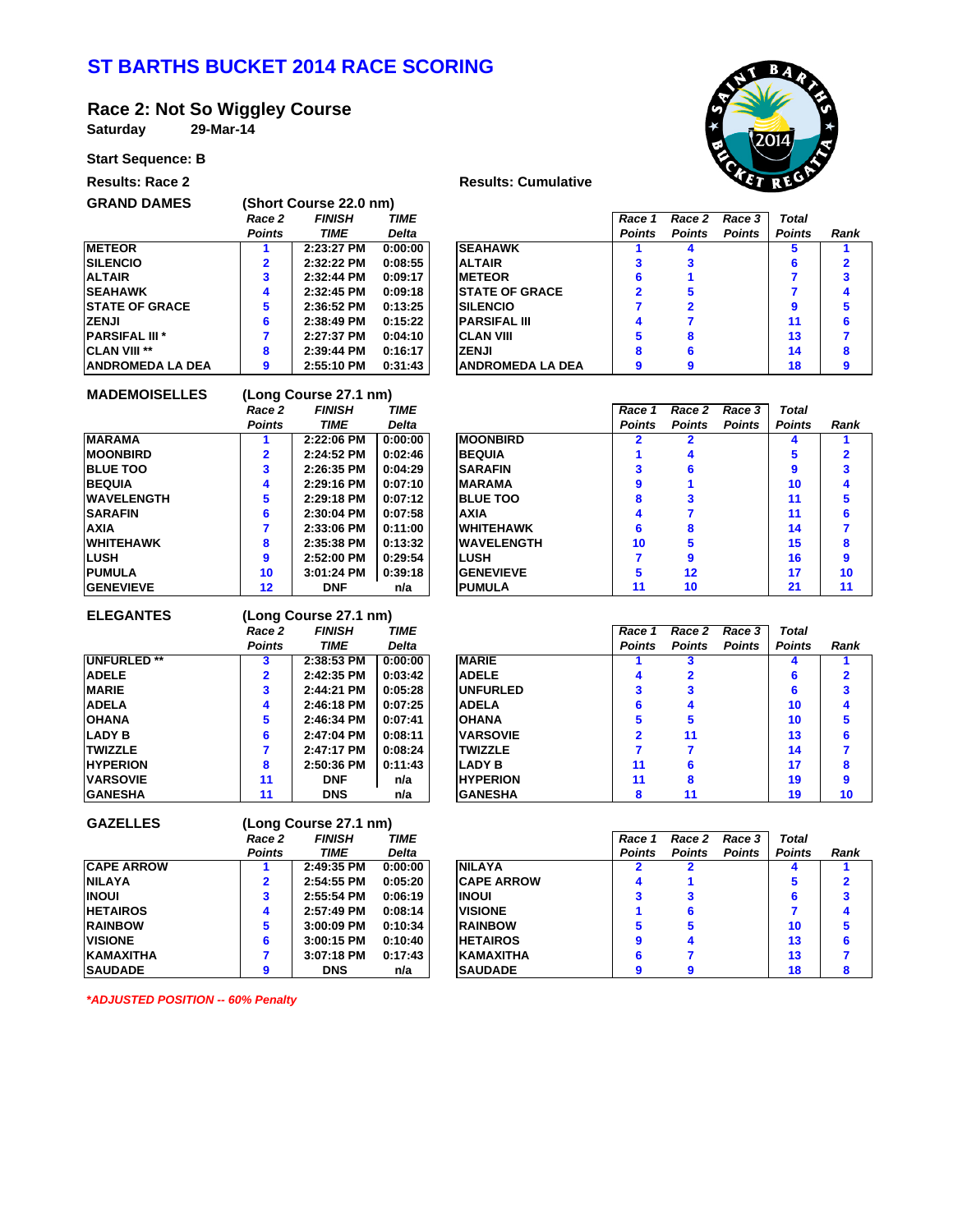# **ST BARTHS BUCKET 2014 RACE SCORING**

#### **Race 2: Not So Wiggley Course**

**Saturday**

**29-Mar-14**

## **Start Sequence: B**



| $3.41$ , $3.44$ , $3.4$ , $3.4$ |                            |
|---------------------------------|----------------------------|
| <b>Results: Race 2</b>          | <b>Results: Cumulative</b> |



| <b>GRAND DAMES</b>      | (Short Course 22.0 nm)  |              |              |  |  |  |
|-------------------------|-------------------------|--------------|--------------|--|--|--|
|                         | <b>FINISH</b><br>Race 2 |              | <b>TIME</b>  |  |  |  |
|                         | <b>Points</b>           | <b>TIME</b>  | <b>Delta</b> |  |  |  |
| <b>METEOR</b>           |                         | 2:23:27 PM   | 0:00:00      |  |  |  |
| <b>SILENCIO</b>         | 2                       | $2:32:22$ PM | 0:08:55      |  |  |  |
| <b>ALTAIR</b>           | 3                       | $2:32:44$ PM | 0:09:17      |  |  |  |
| <b>SEAHAWK</b>          | 4                       | 2:32:45 PM   | 0:09:18      |  |  |  |
| <b>STATE OF GRACE</b>   | 5                       | 2:36:52 PM   | 0:13:25      |  |  |  |
| <b>ZENJI</b>            | 6                       | 2:38:49 PM   | 0:15:22      |  |  |  |
| <b>PARSIFAL III*</b>    | 7                       | 2:27:37 PM   | 0:04:10      |  |  |  |
| <b>CLAN VIII **</b>     | 8                       | 2:39:44 PM   | 0:16:17      |  |  |  |
| <b>ANDROMEDA LA DEA</b> | 9                       | 2:55:10 PM   | 0:31:43      |  |  |  |

|                       | Race 2        | <b>FINISH</b> | <b>TIME</b>  |                        | Race 1        | Race 2        | Race 3        | <b>Total</b>  |      |  |
|-----------------------|---------------|---------------|--------------|------------------------|---------------|---------------|---------------|---------------|------|--|
|                       | <b>Points</b> | <b>TIME</b>   | <b>Delta</b> |                        | <b>Points</b> | <b>Points</b> | <b>Points</b> | <b>Points</b> | Rank |  |
| <b>METEOR</b>         |               | 2:23:27 PM    | 0:00:00      | <b>SEAHAWK</b>         |               |               |               |               |      |  |
| <b>SILENCIO</b>       |               | 2:32:22 PM    | 0:08:55      | <b>ALTAIR</b>          |               |               |               | 6             |      |  |
| ALTAIR                |               | 2:32:44 PM    | 0:09:17      | <b>IMETEOR</b>         | 6             |               |               |               |      |  |
| <b>SEAHAWK</b>        | 4             | 2:32:45 PM    | 0:09:18      | <b>ISTATE OF GRACE</b> |               |               |               |               |      |  |
| <b>STATE OF GRACE</b> |               | 2:36:52 PM    | 0:13:25      | <b>ISILENCIO</b>       |               |               |               |               |      |  |
| ZENJI                 |               | 2:38:49 PM    | 0:15:22      | <b>IPARSIFAL III</b>   | 4             |               |               | 11            |      |  |
| <b>PARSIFAL III *</b> |               | 2:27:37 PM    | 0:04:10      | <b>ICLAN VIII</b>      | 5             |               |               | 13            |      |  |
| <b>CLAN VIII **</b>   | 8             | 2:39:44 PM    | 0:16:17      | <b>ZENJI</b>           | 8             |               |               | 14            |      |  |
| ANDROMEDA LA DEA      | 9             | 2:55:10 PM    | 0:31:43      | IANDROMEDA LA DEA      | 9             |               |               | 18            |      |  |
|                       |               |               |              |                        |               |               |               |               |      |  |

| (Long Course 27.1 nm)   |               |             |  |  |  |  |  |
|-------------------------|---------------|-------------|--|--|--|--|--|
| Race 2                  | <b>FINISH</b> | <b>TIME</b> |  |  |  |  |  |
| <b>Points</b>           | TIME          | Delta       |  |  |  |  |  |
| 1                       | 2:22:06 PM    | 0:00:00     |  |  |  |  |  |
| $\overline{\mathbf{2}}$ | 2:24:52 PM    | 0:02:46     |  |  |  |  |  |
| 3                       | 2:26:35 PM    | 0:04:29     |  |  |  |  |  |
| 4                       | 2:29:16 PM    | 0:07:10     |  |  |  |  |  |
| 5                       | 2:29:18 PM    | 0:07:12     |  |  |  |  |  |
| 6                       | 2:30:04 PM    | 0:07:58     |  |  |  |  |  |
| 7                       | 2:33:06 PM    | 0:11:00     |  |  |  |  |  |
| 8                       | 2:35:38 PM    | 0:13:32     |  |  |  |  |  |
| 9                       | 2:52:00 PM    | 0:29:54     |  |  |  |  |  |
| 10                      | 3:01:24 PM    | 0:39:18     |  |  |  |  |  |
| $12 \overline{ }$       | <b>DNF</b>    | n/a         |  |  |  |  |  |
|                         |               |             |  |  |  |  |  |

|                  | Race 2        | <b>FINISH</b> | <b>TIME</b>  |                    | Race 1        | Race 2        | Race 3        | Total         |      |
|------------------|---------------|---------------|--------------|--------------------|---------------|---------------|---------------|---------------|------|
|                  | <b>Points</b> | <b>TIME</b>   | <b>Delta</b> |                    | <b>Points</b> | <b>Points</b> | <b>Points</b> | <b>Points</b> | Rank |
| <b>MARAMA</b>    |               | 2:22:06 PM    | 0:00:00      | <b>MOONBIRD</b>    |               |               |               |               |      |
| <b>MOONBIRD</b>  |               | 2:24:52 PM    | 0:02:46      | <b>BEQUIA</b>      |               |               |               |               |      |
| <b>BLUE TOO</b>  |               | 2:26:35 PM    | 0:04:29      | <b>SARAFIN</b>     |               |               |               | 9             |      |
| <b>BEQUIA</b>    |               | 2:29:16 PM    | 0:07:10      | <b>MARAMA</b>      |               |               |               | 10            |      |
| WAVELENGTH       |               | 2:29:18 PM    | 0:07:12      | <b>BLUE TOO</b>    |               |               |               | 11            |      |
| SARAFIN          |               | 2:30:04 PM    | 0:07:58      | <b>AXIA</b>        | Λ             |               |               | 11            |      |
| AXIA             |               | 2:33:06 PM    | 0:11:00      | <b>WHITEHAWK</b>   |               |               |               | 14            |      |
| WHITEHAWK        |               | 2:35:38 PM    | 0:13:32      | <b>IWAVELENGTH</b> | 10            |               |               | 15            |      |
| LUSH             |               | 2:52:00 PM    | 0:29:54      | <b>LUSH</b>        |               | 9             |               | 16            |      |
| PUMULA           | 10            | $3:01:24$ PM  | 0:39:18      | <b>GENEVIEVE</b>   |               | $12 \,$       |               | 17            | 10   |
| <b>GENEVIEVE</b> | 12            | <b>DNF</b>    | n/a          | <b>IPUMULA</b>     |               | 10            |               | 21            | 11   |

| <b>ELEGANTES</b>   |               | (Long Course 27.1 nm) |              |                  |               |               |               |               |     |  |  |  |  |
|--------------------|---------------|-----------------------|--------------|------------------|---------------|---------------|---------------|---------------|-----|--|--|--|--|
|                    | Race 2        | <b>FINISH</b>         | <b>TIME</b>  |                  | Race 1        | Race 2        | Race 3        | <b>Total</b>  |     |  |  |  |  |
|                    | <b>Points</b> | <b>TIME</b>           | <b>Delta</b> |                  | <b>Points</b> | <b>Points</b> | <b>Points</b> | <b>Points</b> | Ran |  |  |  |  |
| <b>UNFURLED **</b> |               | 2:38:53 PM            | 0:00:00      | <b>MARIE</b>     |               |               |               |               |     |  |  |  |  |
| <b>ADELE</b>       | 2             | 2:42:35 PM            | 0:03:42      | <b>ADELE</b>     |               |               |               |               | 2   |  |  |  |  |
| <b>MARIE</b>       | 3             | 2:44:21 PM            | 0:05:28      | <b>IUNFURLED</b> |               |               |               |               |     |  |  |  |  |
| <b>ADELA</b>       | 4             | 2:46:18 PM            | 0:07:25      | <b>ADELA</b>     | 6             |               |               | 10            |     |  |  |  |  |
| <b>OHANA</b>       | 5             | 2:46:34 PM            | 0:07:41      | <b>OHANA</b>     | 5             |               |               | 10            | 5   |  |  |  |  |
| <b>LADY B</b>      | 6             | 2:47:04 PM            | 0:08:11      | <b>VARSOVIE</b>  | 2             | 11            |               | 13            | 6   |  |  |  |  |
| <b>TWIZZLE</b>     |               | 2:47:17 PM            | 0:08:24      | <b>TWIZZLE</b>   |               |               |               | 14            |     |  |  |  |  |
| <b>HYPERION</b>    | 8             | 2:50:36 PM            | 0:11:43      | <b>LADY B</b>    | 11            |               |               | 17            | 8   |  |  |  |  |
| <b>IVARSOVIE</b>   | 11            | <b>DNF</b>            | n/a          | <b>HYPERION</b>  | 11            |               |               | 19            | 9   |  |  |  |  |
| <b>GANESHA</b>     | 11            | <b>DNS</b>            | n/a          | <b>IGANESHA</b>  | 8             | 11            |               | 19            | 10  |  |  |  |  |

|                    | Race 2        | <b>FINISH</b> | <b>TIME</b>  |                 | Race 1        | Race 2        | Race 3        | Total         |      |
|--------------------|---------------|---------------|--------------|-----------------|---------------|---------------|---------------|---------------|------|
|                    | <b>Points</b> | TIME          | <b>Delta</b> |                 | <b>Points</b> | <b>Points</b> | <b>Points</b> | <b>Points</b> | Rank |
| <b>UNFURLED **</b> |               | 2:38:53 PM    | 0:00:00      | <b>MARIE</b>    |               |               |               | Δ             |      |
| <b>ADELE</b>       |               | 2:42:35 PM    | 0:03:42      | <b>ADELE</b>    | А             |               |               | 6             |      |
| <b>MARIE</b>       |               | 2:44:21 PM    | 0:05:28      | <b>UNFURLED</b> |               |               |               | 6             |      |
| ADELA              |               | 2:46:18 PM    | 0:07:25      | <b>ADELA</b>    |               |               |               | 10            |      |
| OHANA              |               | 2:46:34 PM    | 0:07:41      | <b>OHANA</b>    |               |               |               | 10            |      |
| <b>LADY B</b>      |               | 2:47:04 PM    | 0:08:11      | <b>VARSOVIE</b> |               | 11            |               | 13            |      |
| TWIZZLE            |               | 2:47:17 PM    | 0:08:24      | <b>TWIZZLE</b>  |               |               |               | 14            |      |
| <b>HYPERION</b>    |               | 2:50:36 PM    | 0:11:43      | <b>LADY B</b>   | 11            |               |               | 17            |      |
| <b>VARSOVIE</b>    | 11            | <b>DNF</b>    | n/a          | <b>HYPERION</b> | 11            | 8             |               | 19            |      |
| <b>GANESHA</b>     | 11            | <b>DNS</b>    | n/a          | <b>GANESHA</b>  |               | 11            |               | 19            | 10   |

| <b>GAZELLES</b>   | (Long Course 27.1 nm) |               |             |  |  |  |  |
|-------------------|-----------------------|---------------|-------------|--|--|--|--|
|                   | Race 2                | <b>FINISH</b> | <b>TIME</b> |  |  |  |  |
|                   | <b>Points</b>         | <b>TIME</b>   | Delta       |  |  |  |  |
| <b>CAPE ARROW</b> |                       | 2:49:35 PM    | 0:00:00     |  |  |  |  |
| <b>NILAYA</b>     | $\mathbf{2}$          | 2:54:55 PM    | 0:05:20     |  |  |  |  |
| <b>INOUI</b>      | 3                     | 2:55:54 PM    | 0:06:19     |  |  |  |  |
| <b>HETAIROS</b>   | 4                     | 2:57:49 PM    | 0:08:14     |  |  |  |  |
| <b>RAINBOW</b>    | 5                     | 3:00:09 PM    | 0:10:34     |  |  |  |  |
| <b>VISIONE</b>    | 6                     | 3:00:15 PM    | 0:10:40     |  |  |  |  |
| <b>KAMAXITHA</b>  | 7                     | 3:07:18 PM    | 0:17:43     |  |  |  |  |
| <b>SAUDADE</b>    | 9                     | <b>DNS</b>    | n/a         |  |  |  |  |

|                   | Race 2        | <b>FINISH</b> | <b>TIME</b>  |                    | Race 1        | Race 2        | Race 3        | Total         |      |
|-------------------|---------------|---------------|--------------|--------------------|---------------|---------------|---------------|---------------|------|
|                   | <b>Points</b> | TIME          | <b>Delta</b> |                    | <b>Points</b> | <b>Points</b> | <b>Points</b> | <b>Points</b> | Rank |
| <b>CAPE ARROW</b> |               | 2:49:35 PM    | 0:00:00      | <b>NILAYA</b>      |               |               |               |               |      |
| NILAYA            |               | 2:54:55 PM    | 0:05:20      | <b>ICAPE ARROW</b> |               |               |               |               |      |
| <b>INOUI</b>      |               | 2:55:54 PM    | 0:06:19      | <b>INOUI</b>       |               |               |               | 6             |      |
| <b>HETAIROS</b>   |               | 2:57:49 PM    | 0:08:14      | <b>VISIONE</b>     |               |               |               |               |      |
| <b>RAINBOW</b>    |               | $3:00:09$ PM  | 0:10:34      | <b>RAINBOW</b>     |               |               |               | 10            |      |
| <b>VISIONE</b>    |               | 3:00:15 PM    | 0:10:40      | <b>HETAIROS</b>    |               |               |               | 13            |      |
| KAMAXITHA         |               | $3:07:18$ PM  | 0:17:43      | <b>KAMAXITHA</b>   |               |               |               | 13            |      |
| <b>SAUDADE</b>    |               | <b>DNS</b>    | n/a          | <b>SAUDADE</b>     |               |               |               | 18            |      |
|                   |               |               |              |                    |               |               |               |               |      |

*\*ADJUSTED POSITION -- 60% Penalty*